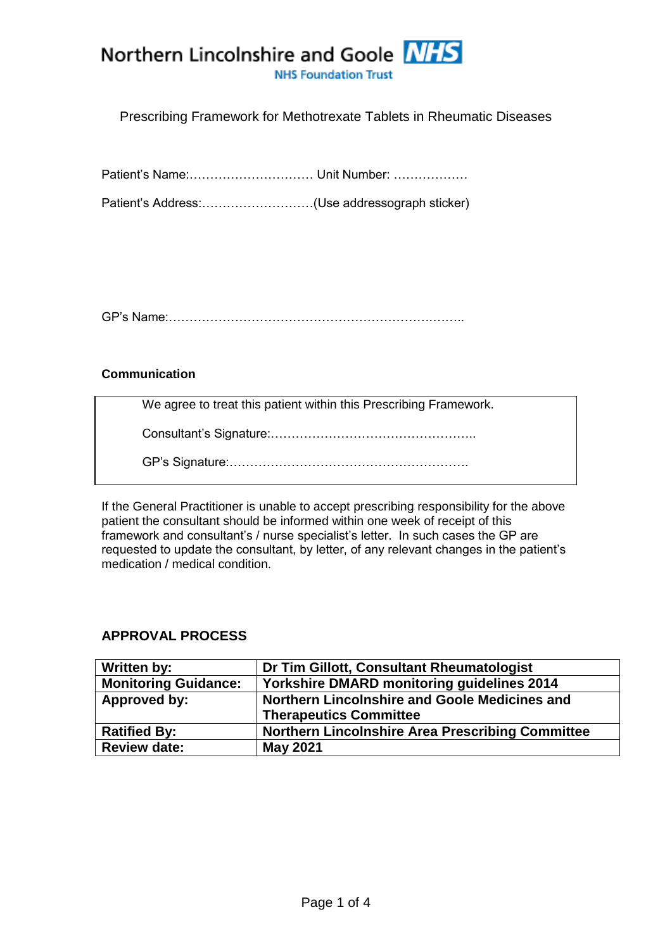**NHS Foundation Trust** 

### Prescribing Framework for Methotrexate Tablets in Rheumatic Diseases

Patient's Name:………………………… Unit Number: ………………

Patient's Address:………………………(Use addressograph sticker)

GP's Name:……………………………………………………….……..

### **Communication**

We agree to treat this patient within this Prescribing Framework.

Consultant's Signature:…………………………………………..

GP's Signature:………………………………………………….

If the General Practitioner is unable to accept prescribing responsibility for the above patient the consultant should be informed within one week of receipt of this framework and consultant's / nurse specialist's letter. In such cases the GP are requested to update the consultant, by letter, of any relevant changes in the patient's medication / medical condition.

## **APPROVAL PROCESS**

| Written by:                 | Dr Tim Gillott, Consultant Rheumatologist               |
|-----------------------------|---------------------------------------------------------|
| <b>Monitoring Guidance:</b> | <b>Yorkshire DMARD monitoring guidelines 2014</b>       |
| Approved by:                | Northern Lincolnshire and Goole Medicines and           |
|                             | <b>Therapeutics Committee</b>                           |
| <b>Ratified By:</b>         | <b>Northern Lincolnshire Area Prescribing Committee</b> |
| <b>Review date:</b>         | <b>May 2021</b>                                         |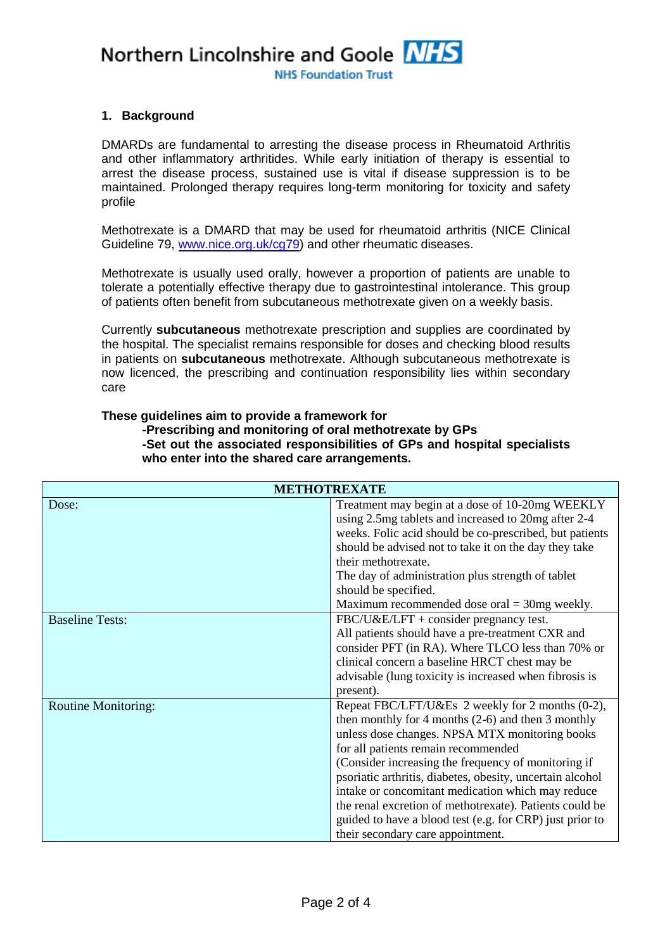**NHS Foundation Trust** 

### **1. Background**

DMARDs are fundamental to arresting the disease process in Rheumatoid Arthritis and other inflammatory arthritides. While early initiation of therapy is essential to arrest the disease process, sustained use is vital if disease suppression is to be maintained. Prolonged therapy requires long-term monitoring for toxicity and safety profile

Methotrexate is a DMARD that may be used for rheumatoid arthritis (NICE Clinical Guideline 79, [www.nice.org.uk/cg79\)](../../turkali/AppData/Local/Microsoft/Windows/Temporary%20Internet%20Files/Content.Outlook/AppData/Local/Microsoft/Windows/Temporary%20Internet%20Files/Content.Outlook/shared%20care%20frameworks%20drafts/rheumatology%20drafts/www.nice.org.uk/cg79) and other rheumatic diseases.

Methotrexate is usually used orally, however a proportion of patients are unable to tolerate a potentially effective therapy due to gastrointestinal intolerance. This group of patients often benefit from subcutaneous methotrexate given on a weekly basis.

Currently **subcutaneous** methotrexate prescription and supplies are coordinated by the hospital. The specialist remains responsible for doses and checking blood results in patients on **subcutaneous** methotrexate. Although subcutaneous methotrexate is now licenced, the prescribing and continuation responsibility lies within secondary care

#### **These guidelines aim to provide a framework for -Prescribing and monitoring of oral methotrexate by GPs -Set out the associated responsibilities of GPs and hospital specialists who enter into the shared care arrangements.**

| <b>METHOTREXATE</b>        |                                                           |  |
|----------------------------|-----------------------------------------------------------|--|
| Dose:                      | Treatment may begin at a dose of 10-20mg WEEKLY           |  |
|                            | using 2.5mg tablets and increased to 20mg after 2-4       |  |
|                            | weeks. Folic acid should be co-prescribed, but patients   |  |
|                            | should be advised not to take it on the day they take     |  |
|                            | their methotrexate.                                       |  |
|                            | The day of administration plus strength of tablet         |  |
|                            | should be specified.                                      |  |
|                            | Maximum recommended dose oral $=$ 30mg weekly.            |  |
| <b>Baseline Tests:</b>     | FBC/U&E/LFT + consider pregnancy test.                    |  |
|                            | All patients should have a pre-treatment CXR and          |  |
|                            | consider PFT (in RA). Where TLCO less than 70% or         |  |
|                            | clinical concern a baseline HRCT chest may be             |  |
|                            | advisable (lung toxicity is increased when fibrosis is    |  |
|                            | present).                                                 |  |
| <b>Routine Monitoring:</b> | Repeat FBC/LFT/U&Es 2 weekly for 2 months (0-2),          |  |
|                            | then monthly for 4 months $(2-6)$ and then 3 monthly      |  |
|                            | unless dose changes. NPSA MTX monitoring books            |  |
|                            | for all patients remain recommended                       |  |
|                            | (Consider increasing the frequency of monitoring if       |  |
|                            | psoriatic arthritis, diabetes, obesity, uncertain alcohol |  |
|                            | intake or concomitant medication which may reduce         |  |
|                            | the renal excretion of methotrexate). Patients could be   |  |
|                            | guided to have a blood test (e.g. for CRP) just prior to  |  |
|                            | their secondary care appointment.                         |  |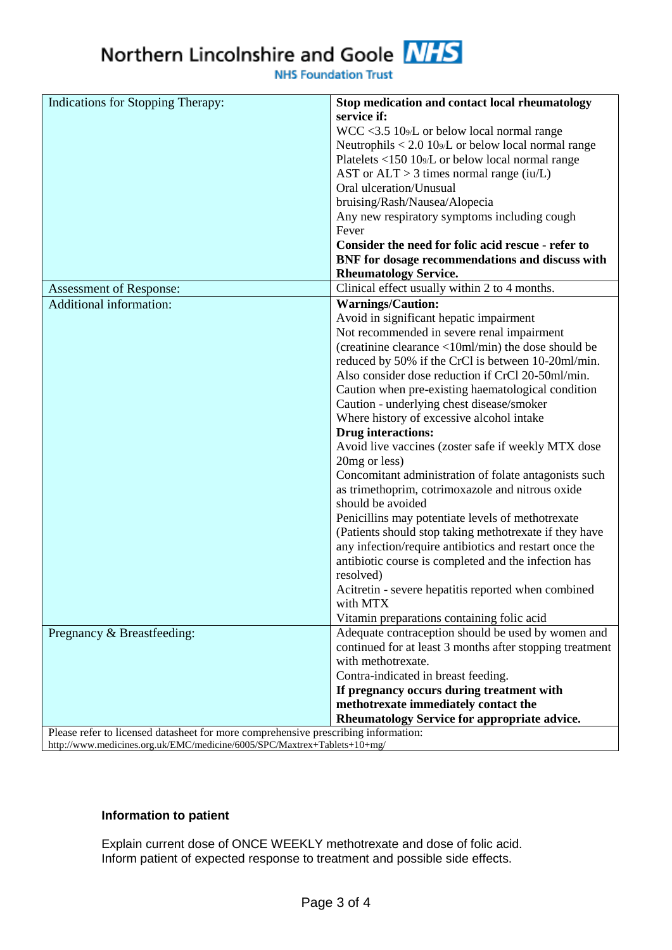**NHS Foundation Trust** 

| Indications for Stopping Therapy:                                                  | Stop medication and contact local rheumatology                   |  |
|------------------------------------------------------------------------------------|------------------------------------------------------------------|--|
|                                                                                    | service if:                                                      |  |
|                                                                                    | WCC <3.5 109/L or below local normal range                       |  |
|                                                                                    | Neutrophils $< 2.0$ 10 $\frac{9}{L}$ or below local normal range |  |
|                                                                                    | Platelets <150 10 <sub>9</sub> /L or below local normal range    |  |
|                                                                                    | AST or $ALT > 3$ times normal range (iu/L)                       |  |
|                                                                                    | Oral ulceration/Unusual                                          |  |
|                                                                                    | bruising/Rash/Nausea/Alopecia                                    |  |
|                                                                                    | Any new respiratory symptoms including cough                     |  |
|                                                                                    | Fever                                                            |  |
|                                                                                    | Consider the need for folic acid rescue - refer to               |  |
|                                                                                    | BNF for dosage recommendations and discuss with                  |  |
|                                                                                    | <b>Rheumatology Service.</b>                                     |  |
| Assessment of Response:                                                            | Clinical effect usually within 2 to 4 months.                    |  |
| <b>Additional information:</b>                                                     | <b>Warnings/Caution:</b>                                         |  |
|                                                                                    | Avoid in significant hepatic impairment                          |  |
|                                                                                    | Not recommended in severe renal impairment                       |  |
|                                                                                    | (creatinine clearance <10ml/min) the dose should be              |  |
|                                                                                    | reduced by 50% if the CrCl is between 10-20ml/min.               |  |
|                                                                                    | Also consider dose reduction if CrCl 20-50ml/min.                |  |
|                                                                                    | Caution when pre-existing haematological condition               |  |
|                                                                                    | Caution - underlying chest disease/smoker                        |  |
|                                                                                    | Where history of excessive alcohol intake                        |  |
|                                                                                    | <b>Drug</b> interactions:                                        |  |
|                                                                                    | Avoid live vaccines (zoster safe if weekly MTX dose              |  |
|                                                                                    | 20mg or less)                                                    |  |
|                                                                                    | Concomitant administration of folate antagonists such            |  |
|                                                                                    | as trimethoprim, cotrimoxazole and nitrous oxide                 |  |
|                                                                                    | should be avoided                                                |  |
|                                                                                    | Penicillins may potentiate levels of methotrexate                |  |
|                                                                                    | (Patients should stop taking methotrexate if they have           |  |
|                                                                                    | any infection/require antibiotics and restart once the           |  |
|                                                                                    | antibiotic course is completed and the infection has             |  |
|                                                                                    | resolved)                                                        |  |
|                                                                                    | Acitretin - severe hepatitis reported when combined              |  |
|                                                                                    | with MTX                                                         |  |
|                                                                                    | Vitamin preparations containing folic acid                       |  |
| Pregnancy & Breastfeeding:                                                         | Adequate contraception should be used by women and               |  |
|                                                                                    | continued for at least 3 months after stopping treatment         |  |
|                                                                                    | with methotrexate.                                               |  |
|                                                                                    | Contra-indicated in breast feeding.                              |  |
|                                                                                    | If pregnancy occurs during treatment with                        |  |
|                                                                                    | methotrexate immediately contact the                             |  |
|                                                                                    | Rheumatology Service for appropriate advice.                     |  |
| Please refer to licensed datasheet for more comprehensive prescribing information: |                                                                  |  |

http://www.medicines.org.uk/EMC/medicine/6005/SPC/Maxtrex+Tablets+10+mg/

### **Information to patient**

Explain current dose of ONCE WEEKLY methotrexate and dose of folic acid. Inform patient of expected response to treatment and possible side effects.